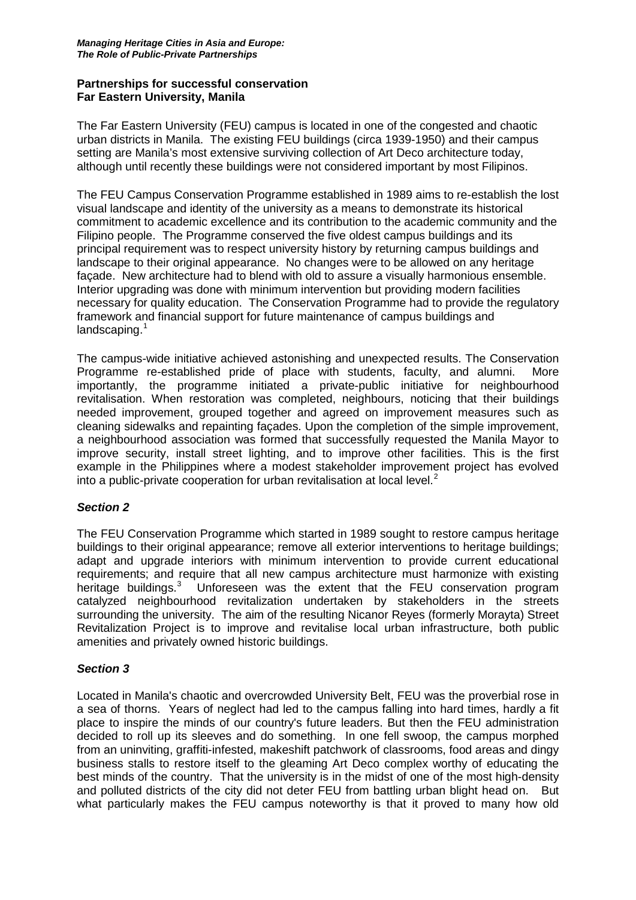#### **Partnerships for successful conservation Far Eastern University, Manila**

The Far Eastern University (FEU) campus is located in one of the congested and chaotic urban districts in Manila. The existing FEU buildings (circa 1939-1950) and their campus setting are Manila's most extensive surviving collection of Art Deco architecture today, although until recently these buildings were not considered important by most Filipinos.

The FEU Campus Conservation Programme established in 1989 aims to re-establish the lost visual landscape and identity of the university as a means to demonstrate its historical commitment to academic excellence and its contribution to the academic community and the Filipino people. The Programme conserved the five oldest campus buildings and its principal requirement was to respect university history by returning campus buildings and landscape to their original appearance. No changes were to be allowed on any heritage façade. New architecture had to blend with old to assure a visually harmonious ensemble. Interior upgrading was done with minimum intervention but providing modern facilities necessary for quality education. The Conservation Programme had to provide the regulatory framework and financial support for future maintenance of campus buildings and landscaping. $1$ 

The campus-wide initiative achieved astonishing and unexpected results. The Conservation Programme re-established pride of place with students, faculty, and alumni. More importantly, the programme initiated a private-public initiative for neighbourhood revitalisation. When restoration was completed, neighbours, noticing that their buildings needed improvement, grouped together and agreed on improvement measures such as cleaning sidewalks and repainting façades. Upon the completion of the simple improvement, a neighbourhood association was formed that successfully requested the Manila Mayor to improve security, install street lighting, and to improve other facilities. This is the first example in the Philippines where a modest stakeholder improvement project has evolved into a public-private cooperation for urban revitalisation at local level. [2](#page-3-1)

# *Section 2*

The FEU Conservation Programme which started in 1989 sought to restore campus heritage buildings to their original appearance; remove all exterior interventions to heritage buildings; adapt and upgrade interiors with minimum intervention to provide current educational requirements; and require that all new campus architecture must harmonize with existing heritage buildings.<sup>[3](#page-3-2)</sup> Unforeseen was the extent that the FEU conservation program catalyzed neighbourhood revitalization undertaken by stakeholders in the streets surrounding the university. The aim of the resulting Nicanor Reyes (formerly Morayta) Street Revitalization Project is to improve and revitalise local urban infrastructure, both public amenities and privately owned historic buildings.

#### *Section 3*

Located in Manila's chaotic and overcrowded University Belt, FEU was the proverbial rose in a sea of thorns. Years of neglect had led to the campus falling into hard times, hardly a fit place to inspire the minds of our country's future leaders. But then the FEU administration decided to roll up its sleeves and do something. In one fell swoop, the campus morphed from an uninviting, graffiti-infested, makeshift patchwork of classrooms, food areas and dingy business stalls to restore itself to the gleaming Art Deco complex worthy of educating the best minds of the country. That the university is in the midst of one of the most high-density and polluted districts of the city did not deter FEU from battling urban blight head on. But what particularly makes the FEU campus noteworthy is that it proved to many how old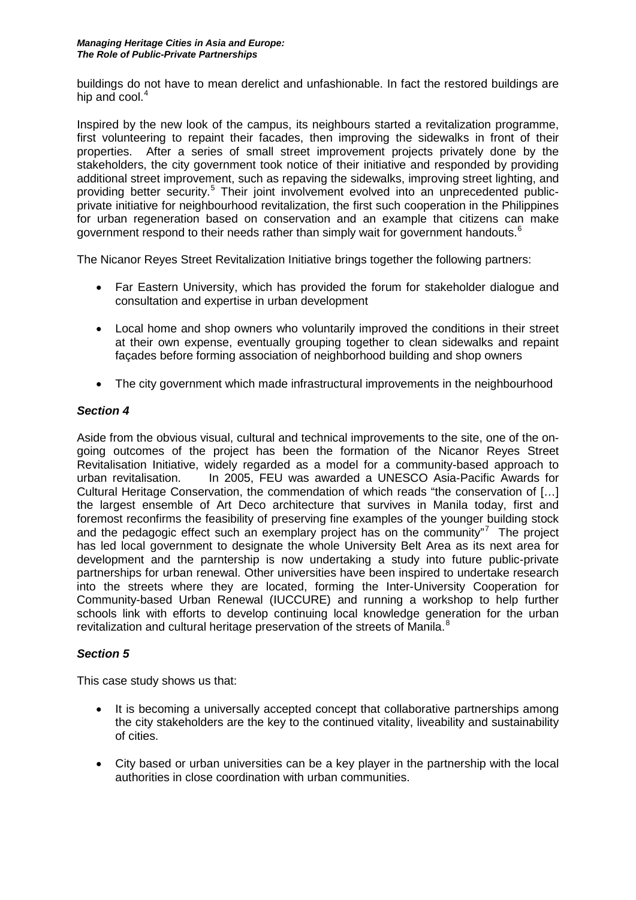buildings do not have to mean derelict and unfashionable. In fact the restored buildings are hip and cool. $4$ 

Inspired by the new look of the campus, its neighbours started a revitalization programme, first volunteering to repaint their facades, then improving the sidewalks in front of their properties. After a series of small street improvement projects privately done by the stakeholders, the city government took notice of their initiative and responded by providing additional street improvement, such as repaving the sidewalks, improving street lighting, and providing better security.<sup>[5](#page-3-4)</sup> Their joint involvement evolved into an unprecedented publicprivate initiative for neighbourhood revitalization, the first such cooperation in the Philippines for urban regeneration based on conservation and an example that citizens can make government respond to their needs rather than simply wait for government handouts. $^6$  $^6$ 

The Nicanor Reyes Street Revitalization Initiative brings together the following partners:

- Far Eastern University, which has provided the forum for stakeholder dialogue and consultation and expertise in urban development
- Local home and shop owners who voluntarily improved the conditions in their street at their own expense, eventually grouping together to clean sidewalks and repaint façades before forming association of neighborhood building and shop owners
- The city government which made infrastructural improvements in the neighbourhood

#### *Section 4*

Aside from the obvious visual, cultural and technical improvements to the site, one of the ongoing outcomes of the project has been the formation of the Nicanor Reyes Street Revitalisation Initiative, widely regarded as a model for a community-based approach to urban revitalisation. In 2005, FEU was awarded a UNESCO Asia-Pacific Awards for Cultural Heritage Conservation, the commendation of which reads "the conservation of […] the largest ensemble of Art Deco architecture that survives in Manila today, first and foremost reconfirms the feasibility of preserving fine examples of the younger building stock and the pedagogic effect such an exemplary project has on the community"<sup>[7](#page-3-6)</sup> The project has led local government to designate the whole University Belt Area as its next area for development and the parntership is now undertaking a study into future public-private partnerships for urban renewal. Other universities have been inspired to undertake research into the streets where they are located, forming the Inter-University Cooperation for Community-based Urban Renewal (IUCCURE) and running a workshop to help further schools link with efforts to develop continuing local knowledge generation for the urban revitalization and cultural heritage preservation of the streets of Manila.<sup>[8](#page-3-7)</sup>

# *Section 5*

This case study shows us that:

- It is becoming a universally accepted concept that collaborative partnerships among the city stakeholders are the key to the continued vitality, liveability and sustainability of cities.
- City based or urban universities can be a key player in the partnership with the local authorities in close coordination with urban communities.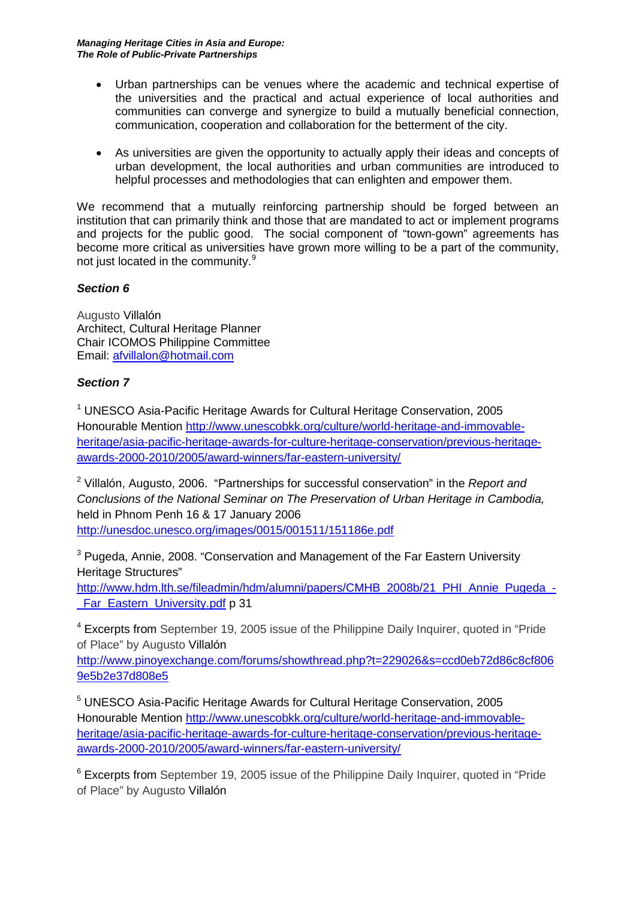*Managing Heritage Cities in Asia and Europe: The Role of Public-Private Partnerships*

- Urban partnerships can be venues where the academic and technical expertise of the universities and the practical and actual experience of local authorities and communities can converge and synergize to build a mutually beneficial connection, communication, cooperation and collaboration for the betterment of the city.
- As universities are given the opportunity to actually apply their ideas and concepts of urban development, the local authorities and urban communities are introduced to helpful processes and methodologies that can enlighten and empower them.

We recommend that a mutually reinforcing partnership should be forged between an institution that can primarily think and those that are mandated to act or implement programs and projects for the public good. The social component of "town-gown" agreements has become more critical as universities have grown more willing to be a part of the community, not just located in the community.<sup>[9](#page-3-8)</sup>

# *Section 6*

Augusto Villalón Architect, Cultural Heritage Planner Chair ICOMOS Philippine Committee Email: [afvillalon@hotmail.com](mailto:afvillalon@hotmail.com)

#### *Section 7*

<sup>1</sup> UNESCO Asia-Pacific Heritage Awards for Cultural Heritage Conservation, 2005 Honourable Mention [http://www.unescobkk.org/culture/world-heritage-and-immovable](http://www.unescobkk.org/culture/world-heritage-and-immovable-heritage/asia-pacific-heritage-awards-for-culture-heritage-conservation/previous-heritage-awards-2000-2010/2005/award-winners/far-eastern-university/)[heritage/asia-pacific-heritage-awards-for-culture-heritage-conservation/previous-heritage](http://www.unescobkk.org/culture/world-heritage-and-immovable-heritage/asia-pacific-heritage-awards-for-culture-heritage-conservation/previous-heritage-awards-2000-2010/2005/award-winners/far-eastern-university/)[awards-2000-2010/2005/award-winners/far-eastern-university/](http://www.unescobkk.org/culture/world-heritage-and-immovable-heritage/asia-pacific-heritage-awards-for-culture-heritage-conservation/previous-heritage-awards-2000-2010/2005/award-winners/far-eastern-university/)

<sup>2</sup> Villalón, Augusto, 2006. "Partnerships for successful conservation" in the *Report and Conclusions of the National Seminar on The Preservation of Urban Heritage in Cambodia,* held in Phnom Penh 16 & 17 January 2006 <http://unesdoc.unesco.org/images/0015/001511/151186e.pdf>

<sup>3</sup> Pugeda, Annie, 2008. "Conservation and Management of the Far Eastern University Heritage Structures"

[http://www.hdm.lth.se/fileadmin/hdm/alumni/papers/CMHB\\_2008b/21\\_PHI\\_Annie\\_Pugeda\\_-](http://www.hdm.lth.se/fileadmin/hdm/alumni/papers/CMHB_2008b/21_PHI_Annie_Pugeda_-_Far_Eastern_University.pdf) Far\_Eastern\_University.pdf p 31

<sup>4</sup> Excerpts from September 19, 2005 issue of the Philippine Daily Inquirer, quoted in "Pride" of Place" by Augusto Villalón

[http://www.pinoyexchange.com/forums/showthread.php?t=229026&s=ccd0eb72d86c8cf806](http://www.pinoyexchange.com/forums/showthread.php?t=229026&s=ccd0eb72d86c8cf8069e5b2e37d808e5) [9e5b2e37d808e5](http://www.pinoyexchange.com/forums/showthread.php?t=229026&s=ccd0eb72d86c8cf8069e5b2e37d808e5)

<sup>5</sup> UNESCO Asia-Pacific Heritage Awards for Cultural Heritage Conservation, 2005 Honourable Mention [http://www.unescobkk.org/culture/world-heritage-and-immovable](http://www.unescobkk.org/culture/world-heritage-and-immovable-heritage/asia-pacific-heritage-awards-for-culture-heritage-conservation/previous-heritage-awards-2000-2010/2005/award-winners/far-eastern-university/)[heritage/asia-pacific-heritage-awards-for-culture-heritage-conservation/previous-heritage](http://www.unescobkk.org/culture/world-heritage-and-immovable-heritage/asia-pacific-heritage-awards-for-culture-heritage-conservation/previous-heritage-awards-2000-2010/2005/award-winners/far-eastern-university/)[awards-2000-2010/2005/award-winners/far-eastern-university/](http://www.unescobkk.org/culture/world-heritage-and-immovable-heritage/asia-pacific-heritage-awards-for-culture-heritage-conservation/previous-heritage-awards-2000-2010/2005/award-winners/far-eastern-university/)

<sup>6</sup> Excerpts from September 19, 2005 issue of the Philippine Daily Inquirer, quoted in "Pride of Place" by Augusto Villalón